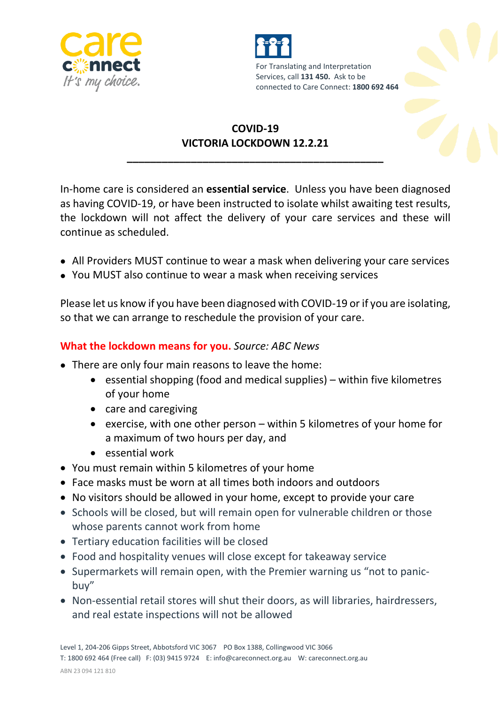



## **COVID-19 VICTORIA LOCKDOWN 12.2.21**

**\_\_\_\_\_\_\_\_\_\_\_\_\_\_\_\_\_\_\_\_\_\_\_\_\_\_\_\_\_\_\_\_\_\_\_\_\_\_\_\_\_\_\_\_**

In-home care is considered an **essential service**. Unless you have been diagnosed as having COVID-19, or have been instructed to isolate whilst awaiting test results, the lockdown will not affect the delivery of your care services and these will continue as scheduled.

- All Providers MUST continue to wear a mask when delivering your care services
- You MUST also continue to wear a mask when receiving services

Please let us know if you have been diagnosed with COVID-19 or if you are isolating, so that we can arrange to reschedule the provision of your care.

## **What the lockdown means for you.** *Source: ABC News*

- There are only four main reasons to leave the home:
	- **e** essential shopping (food and medical supplies) within five kilometres of your home
	- care and caregiving
	- e exercise, with one other person  $-$  within 5 kilometres of your home for a maximum of two hours per day, and
	- essential work
- You must remain within 5 kilometres of your home
- Face masks must be worn at all times both indoors and outdoors
- No visitors should be allowed in your home, except to provide your care
- Schools will be closed, but will remain open for vulnerable children or those whose parents cannot work from home
- Tertiary education facilities will be closed
- Food and hospitality venues will close except for takeaway service
- Supermarkets will remain open, with the Premier warning us "not to panicbuy"
- Non-essential retail stores will shut their doors, as will libraries, hairdressers, and real estate inspections will not be allowed